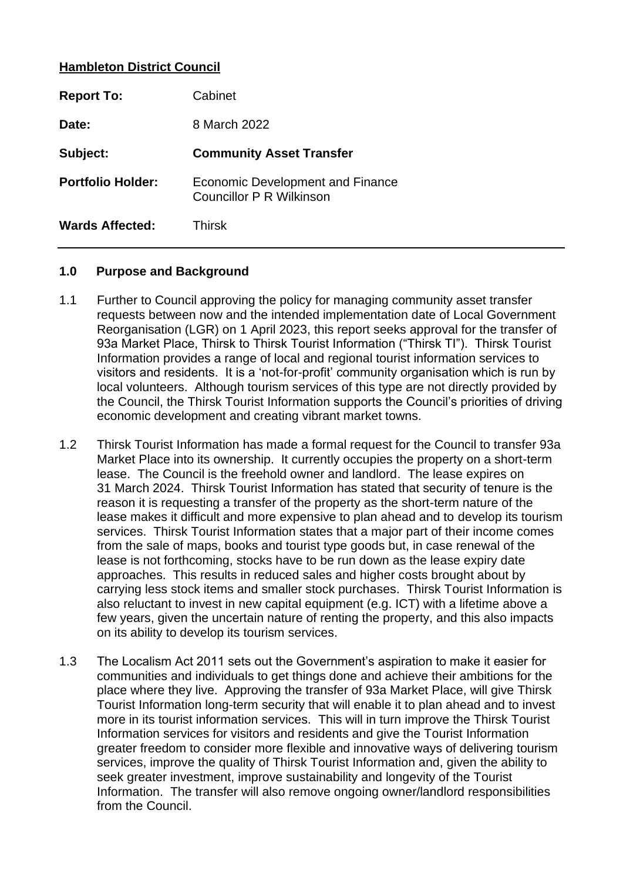### **Hambleton District Council**

| <b>Report To:</b>        | Cabinet                                                             |
|--------------------------|---------------------------------------------------------------------|
| Date:                    | 8 March 2022                                                        |
| Subject:                 | <b>Community Asset Transfer</b>                                     |
| <b>Portfolio Holder:</b> | <b>Economic Development and Finance</b><br>Councillor P R Wilkinson |
| <b>Wards Affected:</b>   | Thirsk                                                              |

### **1.0 Purpose and Background**

- 1.1 Further to Council approving the policy for managing community asset transfer requests between now and the intended implementation date of Local Government Reorganisation (LGR) on 1 April 2023, this report seeks approval for the transfer of 93a Market Place, Thirsk to Thirsk Tourist Information ("Thirsk TI"). Thirsk Tourist Information provides a range of local and regional tourist information services to visitors and residents. It is a 'not-for-profit' community organisation which is run by local volunteers. Although tourism services of this type are not directly provided by the Council, the Thirsk Tourist Information supports the Council's priorities of driving economic development and creating vibrant market towns.
- 1.2 Thirsk Tourist Information has made a formal request for the Council to transfer 93a Market Place into its ownership. It currently occupies the property on a short-term lease. The Council is the freehold owner and landlord. The lease expires on 31 March 2024. Thirsk Tourist Information has stated that security of tenure is the reason it is requesting a transfer of the property as the short-term nature of the lease makes it difficult and more expensive to plan ahead and to develop its tourism services. Thirsk Tourist Information states that a major part of their income comes from the sale of maps, books and tourist type goods but, in case renewal of the lease is not forthcoming, stocks have to be run down as the lease expiry date approaches. This results in reduced sales and higher costs brought about by carrying less stock items and smaller stock purchases. Thirsk Tourist Information is also reluctant to invest in new capital equipment (e.g. ICT) with a lifetime above a few years, given the uncertain nature of renting the property, and this also impacts on its ability to develop its tourism services.
- 1.3 The Localism Act 2011 sets out the Government's aspiration to make it easier for communities and individuals to get things done and achieve their ambitions for the place where they live. Approving the transfer of 93a Market Place, will give Thirsk Tourist Information long-term security that will enable it to plan ahead and to invest more in its tourist information services. This will in turn improve the Thirsk Tourist Information services for visitors and residents and give the Tourist Information greater freedom to consider more flexible and innovative ways of delivering tourism services, improve the quality of Thirsk Tourist Information and, given the ability to seek greater investment, improve sustainability and longevity of the Tourist Information. The transfer will also remove ongoing owner/landlord responsibilities from the Council.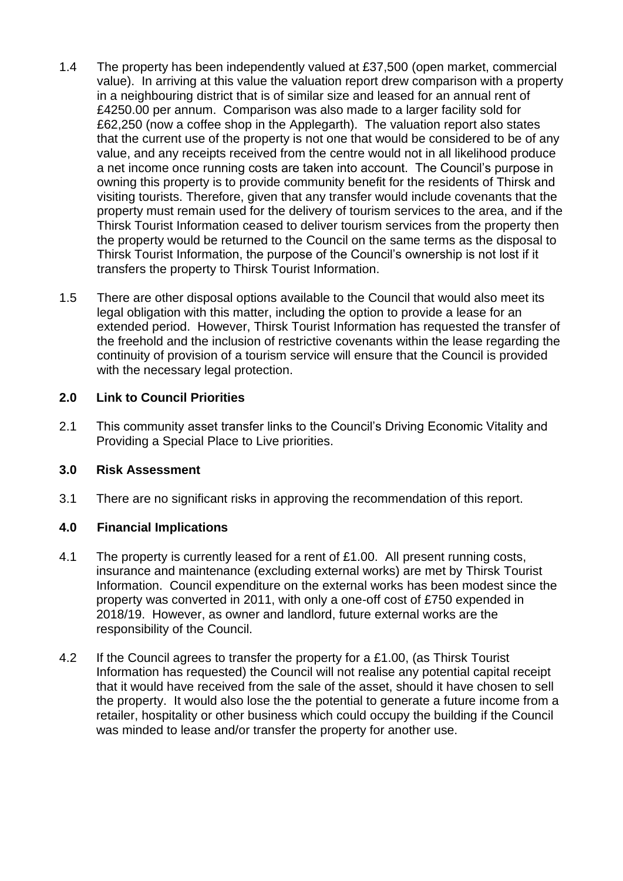- 1.4 The property has been independently valued at £37,500 (open market, commercial value). In arriving at this value the valuation report drew comparison with a property in a neighbouring district that is of similar size and leased for an annual rent of £4250.00 per annum. Comparison was also made to a larger facility sold for £62,250 (now a coffee shop in the Applegarth). The valuation report also states that the current use of the property is not one that would be considered to be of any value, and any receipts received from the centre would not in all likelihood produce a net income once running costs are taken into account. The Council's purpose in owning this property is to provide community benefit for the residents of Thirsk and visiting tourists. Therefore, given that any transfer would include covenants that the property must remain used for the delivery of tourism services to the area, and if the Thirsk Tourist Information ceased to deliver tourism services from the property then the property would be returned to the Council on the same terms as the disposal to Thirsk Tourist Information, the purpose of the Council's ownership is not lost if it transfers the property to Thirsk Tourist Information.
- 1.5 There are other disposal options available to the Council that would also meet its legal obligation with this matter, including the option to provide a lease for an extended period. However, Thirsk Tourist Information has requested the transfer of the freehold and the inclusion of restrictive covenants within the lease regarding the continuity of provision of a tourism service will ensure that the Council is provided with the necessary legal protection.

## **2.0 Link to Council Priorities**

2.1 This community asset transfer links to the Council's Driving Economic Vitality and Providing a Special Place to Live priorities.

## **3.0 Risk Assessment**

3.1 There are no significant risks in approving the recommendation of this report.

# **4.0 Financial Implications**

- 4.1 The property is currently leased for a rent of £1.00. All present running costs, insurance and maintenance (excluding external works) are met by Thirsk Tourist Information. Council expenditure on the external works has been modest since the property was converted in 2011, with only a one-off cost of £750 expended in 2018/19. However, as owner and landlord, future external works are the responsibility of the Council.
- 4.2 If the Council agrees to transfer the property for a £1.00, (as Thirsk Tourist Information has requested) the Council will not realise any potential capital receipt that it would have received from the sale of the asset, should it have chosen to sell the property. It would also lose the the potential to generate a future income from a retailer, hospitality or other business which could occupy the building if the Council was minded to lease and/or transfer the property for another use.